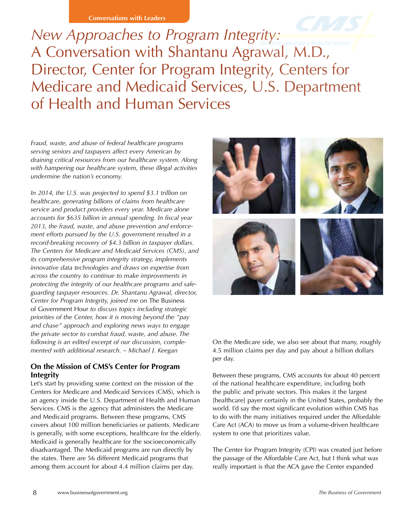**Conversations with Leaders**

*New Approaches to Program Integrity:*  A Conversation with Shantanu Agrawal, M.D., Director, Center for Program Integrity, Centers for Medicare and Medicaid Services, U.S. Department of Health and Human Services

*Fraud, waste, and abuse of federal healthcare programs serving seniors and taxpayers affect every American by draining critical resources from our healthcare system. Along with hampering our healthcare system, these illegal activities undermine the nation's economy.* 

*In 2014, the U.S. was projected to spend \$3.1 trillion on healthcare, generating billions of claims from healthcare service and product providers every year. Medicare alone accounts for \$635 billion in annual spending. In fiscal year 2013, the fraud, waste, and abuse prevention and enforcement efforts pursued by the U.S. government resulted in a record-breaking recovery of \$4.3 billion in taxpayer dollars. The Centers for Medicare and Medicaid Services (CMS), and its comprehensive program integrity strategy, implements innovative data technologies and draws on expertise from across the country to continue to make improvements in protecting the integrity of our healthcare programs and safeguarding taxpayer resources. Dr. Shantanu Agrawal, director, Center for Program Integrity, joined me on* The Business of Government Hour *to discuss topics including strategic priorities of the Center, how it is moving beyond the "pay and chase" approach and exploring news ways to engage the private sector to combat fraud, waste, and abuse. The following is an edited excerpt of our discussion, complemented with additional research. – Michael J. Keegan*

## **On the Mission of CMS's Center for Program Integrity**

Let's start by providing some context on the mission of the Centers for Medicare and Medicaid Services (CMS), which is an agency inside the U.S. Department of Health and Human Services. CMS is the agency that administers the Medicare and Medicaid programs. Between these programs, CMS covers about 100 million beneficiaries or patients. Medicare is generally, with some exceptions, healthcare for the elderly. Medicaid is generally healthcare for the socioeconomically disadvantaged. The Medicaid programs are run directly by the states. There are 56 different Medicaid programs that among them account for about 4.4 million claims per day.



On the Medicare side, we also see about that many, roughly 4.5 million claims per day and pay about a billion dollars per day.

Between these programs, CMS accounts for about 40 percent of the national healthcare expenditure, including both the public and private sectors. This makes it the largest [healthcare] payer certainly in the United States, probably the world. I'd say the most significant evolution within CMS has to do with the many initiatives required under the Affordable Care Act (ACA) to move us from a volume-driven healthcare system to one that prioritizes value.

The Center for Program Integrity (CPI) was created just before the passage of the Affordable Care Act, but I think what was really important is that the ACA gave the Center expanded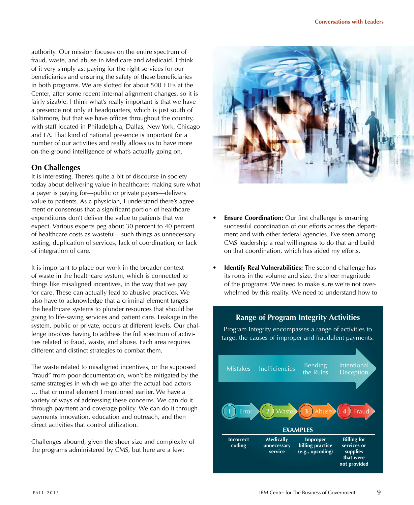authority. Our mission focuses on the entire spectrum of fraud, waste, and abuse in Medicare and Medicaid. I think of it very simply as: paying for the right services for our beneficiaries and ensuring the safety of these beneficiaries in both programs. We are slotted for about 500 FTEs at the Center, after some recent internal alignment changes, so it is fairly sizable. I think what's really important is that we have a presence not only at headquarters, which is just south of Baltimore, but that we have offices throughout the country, with staff located in Philadelphia, Dallas, New York, Chicago and LA. That kind of national presence is important for a number of our activities and really allows us to have more on-the-ground intelligence of what's actually going on.

### **On Challenges**

It is interesting. There's quite a bit of discourse in society today about delivering value in healthcare: making sure what a payer is paying for—public or private payers—delivers value to patients. As a physician, I understand there's agreement or consensus that a significant portion of healthcare expenditures don't deliver the value to patients that we expect. Various experts peg about 30 percent to 40 percent of healthcare costs as wasteful—such things as unnecessary testing, duplication of services, lack of coordination, or lack of integration of care.

It is important to place our work in the broader context of waste in the healthcare system, which is connected to things like misaligned incentives, in the way that we pay for care. These can actually lead to abusive practices. We also have to acknowledge that a criminal element targets the healthcare systems to plunder resources that should be going to life-saving services and patient care. Leakage in the system, public or private, occurs at different levels. Our challenge involves having to address the full spectrum of activities related to fraud, waste, and abuse. Each area requires different and distinct strategies to combat them.

The waste related to misaligned incentives, or the supposed "fraud" from poor documentation, won't be mitigated by the same strategies in which we go after the actual bad actors … that criminal element I mentioned earlier. We have a variety of ways of addressing these concerns. We can do it through payment and coverage policy. We can do it through payments innovation, education and outreach, and then direct activities that control utilization.

Challenges abound, given the sheer size and complexity of the programs administered by CMS, but here are a few:



- **Ensure Coordination:** Our first challenge is ensuring successful coordination of our efforts across the department and with other federal agencies. I've seen among CMS leadership a real willingness to do that and build on that coordination, which has aided my efforts.
- **Identify Real Vulnerabilities:** The second challenge has its roots in the volume and size, the sheer magnitude of the programs. We need to make sure we're not overwhelmed by this reality. We need to understand how to

## **Range of Program Integrity Activities**

Program Integrity encompasses a range of activities to target the causes of improper and fraudulent payments.

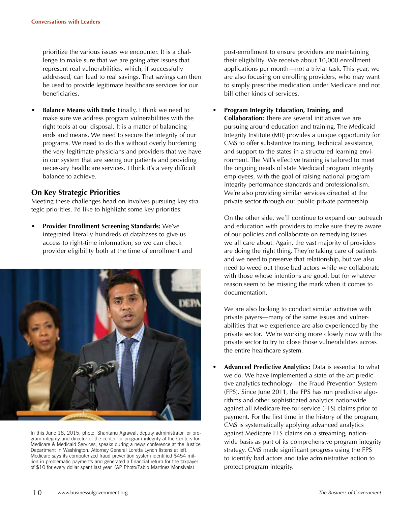prioritize the various issues we encounter. It is a challenge to make sure that we are going after issues that represent real vulnerabilities, which, if successfully addressed, can lead to real savings. That savings can then be used to provide legitimate healthcare services for our beneficiaries.

**Balance Means with Ends:** Finally, I think we need to make sure we address program vulnerabilities with the right tools at our disposal. It is a matter of balancing ends and means. We need to secure the integrity of our programs. We need to do this without overly burdening the very legitimate physicians and providers that we have in our system that are seeing our patients and providing necessary healthcare services. I think it's a very difficult balance to achieve.

#### **On Key Strategic Priorities**

Meeting these challenges head-on involves pursuing key strategic priorities. I'd like to highlight some key priorities:

• **Provider Enrollment Screening Standards:** We've integrated literally hundreds of databases to give us access to right-time information, so we can check provider eligibility both at the time of enrollment and



In this June 18, 2015, photo, Shantanu Agrawal, deputy administrator for program integrity and director of the center for program integrity at the Centers for Medicare & Medicaid Services, speaks during a news conference at the Justice Department in Washington. Attorney General Loretta Lynch listens at left. Medicare says its computerized fraud prevention system identified \$454 million in problematic payments and generated a financial return for the taxpayer of \$10 for every dollar spent last year. (AP Photo/Pablo Martinez Monsivais)

post-enrollment to ensure providers are maintaining their eligibility. We receive about 10,000 enrollment applications per month—not a trivial task. This year, we are also focusing on enrolling providers, who may want to simply prescribe medication under Medicare and not bill other kinds of services.

• **Program Integrity Education, Training, and Collaboration:** There are several initiatives we are pursuing around education and training. The Medicaid Integrity Institute (MII) provides a unique opportunity for CMS to offer substantive training, technical assistance, and support to the states in a structured learning environment. The MII's effective training is tailored to meet the ongoing needs of state Medicaid program integrity employees, with the goal of raising national program integrity performance standards and professionalism. We're also providing similar services directed at the private sector through our public-private partnership.

On the other side, we'll continue to expand our outreach and education with providers to make sure they're aware of our policies and collaborate on remedying issues we all care about. Again, the vast majority of providers are doing the right thing. They're taking care of patients and we need to preserve that relationship, but we also need to weed out those bad actors while we collaborate with those whose intentions are good, but for whatever reason seem to be missing the mark when it comes to documentation.

We are also looking to conduct similar activities with private payers—many of the same issues and vulnerabilities that we experience are also experienced by the private sector. We're working more closely now with the private sector to try to close those vulnerabilities across the entire healthcare system.

• **Advanced Predictive Analytics:** Data is essential to what we do. We have implemented a state-of-the-art predictive analytics technology—the Fraud Prevention System (FPS). Since June 2011, the FPS has run predictive algorithms and other sophisticated analytics nationwide against all Medicare fee-for-service (FFS) claims prior to payment. For the first time in the history of the program, CMS is systematically applying advanced analytics against Medicare FFS claims on a streaming, nationwide basis as part of its comprehensive program integrity strategy. CMS made significant progress using the FPS to identify bad actors and take administrative action to protect program integrity.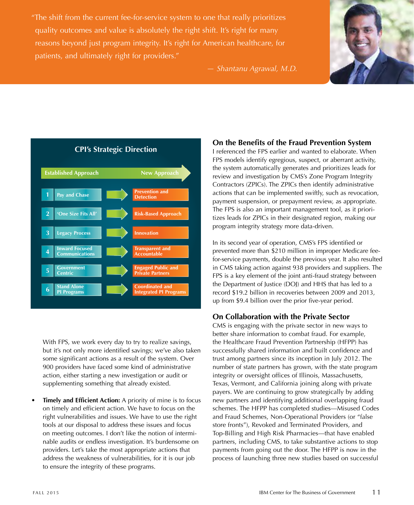"The shift from the current fee-for-service system to one that really prioritizes quality outcomes and value is absolutely the right shift. It's right for many reasons beyond just program integrity. It's right for American healthcare, for patients, and ultimately right for providers."



*— Shantanu Agrawal, M.D.*



With FPS, we work every day to try to realize savings, but it's not only more identified savings; we've also taken some significant actions as a result of the system. Over 900 providers have faced some kind of administrative action, either starting a new investigation or audit or supplementing something that already existed.

• **Timely and Efficient Action:** A priority of mine is to focus on timely and efficient action. We have to focus on the right vulnerabilities and issues. We have to use the right tools at our disposal to address these issues and focus on meeting outcomes. I don't like the notion of interminable audits or endless investigation. It's burdensome on providers. Let's take the most appropriate actions that address the weakness of vulnerabilities, for it is our job to ensure the integrity of these programs.

# **On the Benefits of the Fraud Prevention System**

I referenced the FPS earlier and wanted to elaborate. When FPS models identify egregious, suspect, or aberrant activity, the system automatically generates and prioritizes leads for review and investigation by CMS's Zone Program Integrity Contractors (ZPICs). The ZPICs then identify administrative actions that can be implemented swiftly, such as revocation, payment suspension, or prepayment review, as appropriate. The FPS is also an important management tool, as it prioritizes leads for ZPICs in their designated region, making our program integrity strategy more data-driven.

In its second year of operation, CMS's FPS identified or prevented more than \$210 million in improper Medicare feefor-service payments, double the previous year. It also resulted in CMS taking action against 938 providers and suppliers. The FPS is a key element of the joint anti-fraud strategy between the Department of Justice (DOJ) and HHS that has led to a record \$19.2 billion in recoveries between 2009 and 2013, up from \$9.4 billion over the prior five-year period.

## **On Collaboration with the Private Sector**

CMS is engaging with the private sector in new ways to better share information to combat fraud. For example, the Healthcare Fraud Prevention Partnership (HFPP) has successfully shared information and built confidence and trust among partners since its inception in July 2012. The number of state partners has grown, with the state program integrity or oversight offices of Illinois, Massachusetts, Texas, Vermont, and California joining along with private payers. We are continuing to grow strategically by adding new partners and identifying additional overlapping fraud schemes. The HFPP has completed studies—Misused Codes and Fraud Schemes, Non-Operational Providers (or "false store fronts"), Revoked and Terminated Providers, and Top-Billing and High Risk Pharmacies—that have enabled partners, including CMS, to take substantive actions to stop payments from going out the door. The HFPP is now in the process of launching three new studies based on successful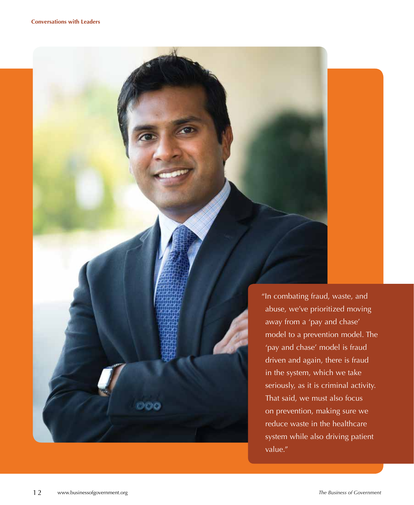